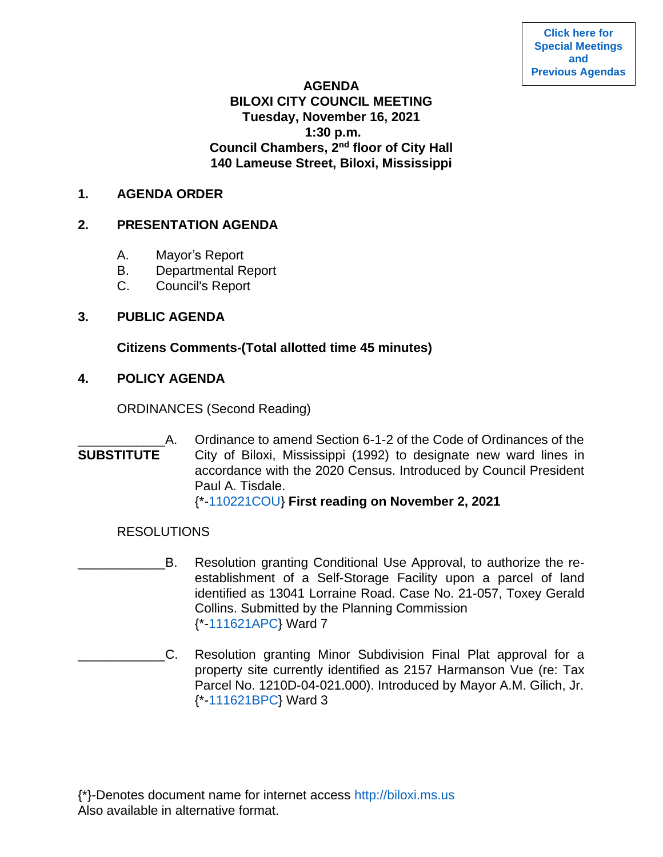**[Click here for](https://www.biloxi.ms.us/category/agendas-city-council/) [Special Meetings](https://www.biloxi.ms.us/category/agendas-city-council/) [and](https://www.biloxi.ms.us/category/agendas-city-council/) [Previous Agendas](https://www.biloxi.ms.us/category/agendas-city-council/)**

#### **AGENDA**

# **BILOXI CITY COUNCIL MEETING Tuesday, November 16, 2021 1:30 p.m. Council Chambers, 2nd floor of City Hall 140 Lameuse Street, Biloxi, Mississippi**

### **1. AGENDA ORDER**

### **2. PRESENTATION AGENDA**

- A. Mayor's Report
- B. Departmental Report
- C. Council's Report

## **3. PUBLIC AGENDA**

## **Citizens Comments-(Total allotted time 45 minutes)**

## **4. POLICY AGENDA**

ORDINANCES (Second Reading)

## A. Ordinance to amend Section 6-1-2 of the Code of Ordinances of the **SUBSTITUTE** City of Biloxi, Mississippi (1992) to designate new ward lines in accordance with the 2020 Census. Introduced by Council President Paul A. Tisdale. {\*[-110221COU}](https://www.biloxi.ms.us/agendas/citycouncil/2021/111621/110221couSub.pdf) **First reading on November 2, 2021**

### RESOLUTIONS

- \_\_\_\_\_\_\_\_\_\_\_\_B. Resolution granting Conditional Use Approval, to authorize the reestablishment of a Self-Storage Facility upon a parcel of land identified as 13041 Lorraine Road. Case No. 21-057, Toxey Gerald Collins. Submitted by the Planning Commission {\*[-111621APC}](https://www.biloxi.ms.us/agendas/citycouncil/2021/111621/111621apc.pdf) Ward 7
- \_\_\_\_\_\_\_\_\_\_\_\_C. Resolution granting Minor Subdivision Final Plat approval for a property site currently identified as 2157 Harmanson Vue (re: Tax Parcel No. 1210D-04-021.000). Introduced by Mayor A.M. Gilich, Jr. {\*[-111621BPC}](https://www.biloxi.ms.us/agendas/citycouncil/2021/111621/111621bpc.pdf) Ward 3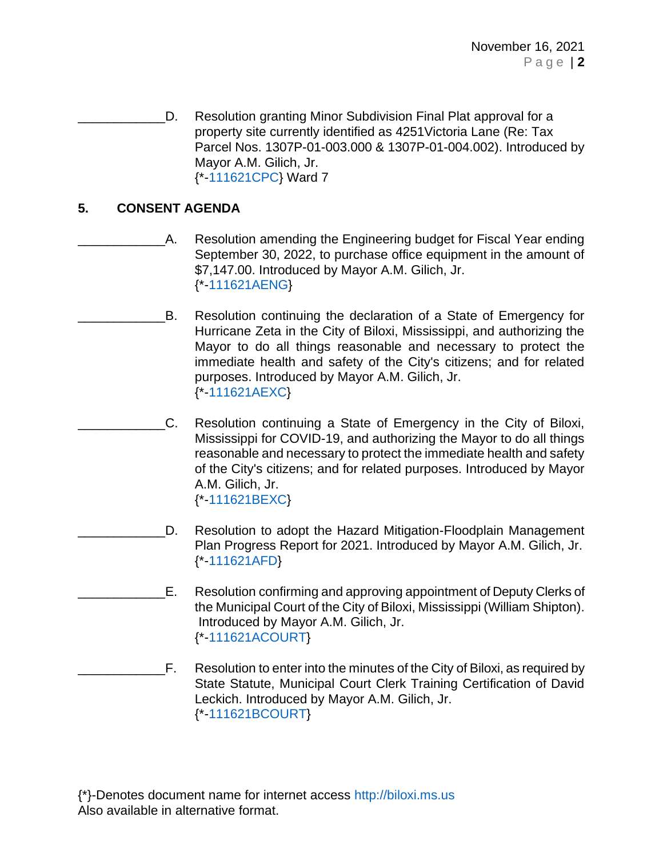D. Resolution granting Minor Subdivision Final Plat approval for a property site currently identified as 4251Victoria Lane (Re: Tax Parcel Nos. 1307P-01-003.000 & 1307P-01-004.002). Introduced by Mayor A.M. Gilich, Jr. {\*[-111621CPC}](https://www.biloxi.ms.us/agendas/citycouncil/2021/111621/111621cpc.pdf) Ward 7

# **5. CONSENT AGENDA**

- A. Resolution amending the Engineering budget for Fiscal Year ending September 30, 2022, to purchase office equipment in the amount of \$7,147.00. Introduced by Mayor A.M. Gilich, Jr. {\*[-111621AENG}](https://www.biloxi.ms.us/agendas/citycouncil/2021/111621/111621aeng.pdf)
	- B. Resolution continuing the declaration of a State of Emergency for Hurricane Zeta in the City of Biloxi, Mississippi, and authorizing the Mayor to do all things reasonable and necessary to protect the immediate health and safety of the City's citizens; and for related purposes. Introduced by Mayor A.M. Gilich, Jr. {\*[-111621AEXC}](https://www.biloxi.ms.us/agendas/citycouncil/2021/111621/111621aexc.pdf)
	- C. Resolution continuing a State of Emergency in the City of Biloxi, Mississippi for COVID-19, and authorizing the Mayor to do all things reasonable and necessary to protect the immediate health and safety of the City's citizens; and for related purposes. Introduced by Mayor A.M. Gilich, Jr. {\*[-111621BEXC}](https://www.biloxi.ms.us/agendas/citycouncil/2021/111621/111621bexc.pdf)
	- D. Resolution to adopt the Hazard Mitigation-Floodplain Management Plan Progress Report for 2021. Introduced by Mayor A.M. Gilich, Jr. {\*[-111621AFD}](https://www.biloxi.ms.us/agendas/citycouncil/2021/111621/111621afd.pdf)
- E. Resolution confirming and approving appointment of Deputy Clerks of the Municipal Court of the City of Biloxi, Mississippi (William Shipton). Introduced by Mayor A.M. Gilich, Jr. {\*[-111621ACOURT}](https://www.biloxi.ms.us/agendas/citycouncil/2021/111621/111621acourt.pdf)
- F. Resolution to enter into the minutes of the City of Biloxi, as required by State Statute, Municipal Court Clerk Training Certification of David Leckich. Introduced by Mayor A.M. Gilich, Jr. {\*[-111621BCOURT}](https://www.biloxi.ms.us/agendas/citycouncil/2021/111621/111621bcourt.pdf)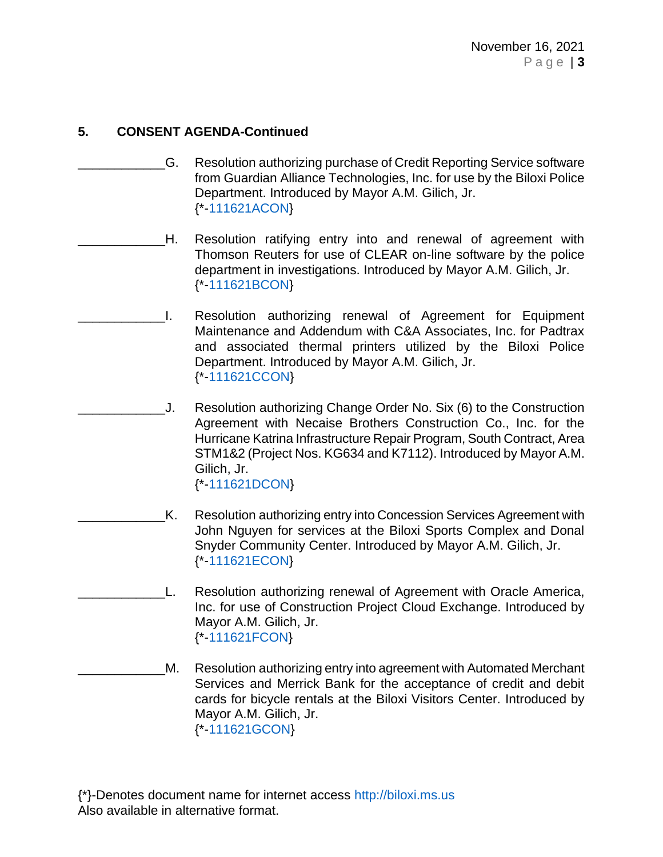- \_\_\_\_\_\_\_\_\_\_\_\_G. Resolution authorizing purchase of Credit Reporting Service software from Guardian Alliance Technologies, Inc. for use by the Biloxi Police Department. Introduced by Mayor A.M. Gilich, Jr. {\*[-111621ACON}](https://www.biloxi.ms.us/agendas/citycouncil/2021/111621/111621acon.pdf)
- \_\_\_\_\_\_\_\_\_\_\_\_H. Resolution ratifying entry into and renewal of agreement with Thomson Reuters for use of CLEAR on-line software by the police department in investigations. Introduced by Mayor A.M. Gilich, Jr. {\*[-111621BCON}](https://www.biloxi.ms.us/agendas/citycouncil/2021/111621/111621bcon.pdf)
	- \_\_\_\_\_\_\_\_\_\_\_\_I. Resolution authorizing renewal of Agreement for Equipment Maintenance and Addendum with C&A Associates, Inc. for Padtrax and associated thermal printers utilized by the Biloxi Police Department. Introduced by Mayor A.M. Gilich, Jr. {\*[-111621CCON}](https://www.biloxi.ms.us/agendas/citycouncil/2021/111621/111621ccon.pdf)
- \_\_\_\_\_\_\_\_\_\_\_\_J. Resolution authorizing Change Order No. Six (6) to the Construction Agreement with Necaise Brothers Construction Co., Inc. for the Hurricane Katrina Infrastructure Repair Program, South Contract, Area STM1&2 (Project Nos. KG634 and K7112). Introduced by Mayor A.M. Gilich, Jr. {\*[-111621DCON}](https://www.biloxi.ms.us/agendas/citycouncil/2021/111621/111621dcon.pdf)
- \_\_\_\_\_\_\_\_\_\_\_\_K. Resolution authorizing entry into Concession Services Agreement with John Nguyen for services at the Biloxi Sports Complex and Donal Snyder Community Center. Introduced by Mayor A.M. Gilich, Jr. {\*[-111621ECON}](https://www.biloxi.ms.us/agendas/citycouncil/2021/111621/111621econ.pdf)
- \_\_\_\_\_\_\_\_\_\_\_\_L. Resolution authorizing renewal of Agreement with Oracle America, Inc. for use of Construction Project Cloud Exchange. Introduced by Mayor A.M. Gilich, Jr. {\*[-111621FCON}](https://www.biloxi.ms.us/agendas/citycouncil/2021/111621/111621fcon.pdf)
- M. Resolution authorizing entry into agreement with Automated Merchant Services and Merrick Bank for the acceptance of credit and debit cards for bicycle rentals at the Biloxi Visitors Center. Introduced by Mayor A.M. Gilich, Jr. {\*[-111621GCON}](https://www.biloxi.ms.us/agendas/citycouncil/2021/111621/111621gcon.pdf)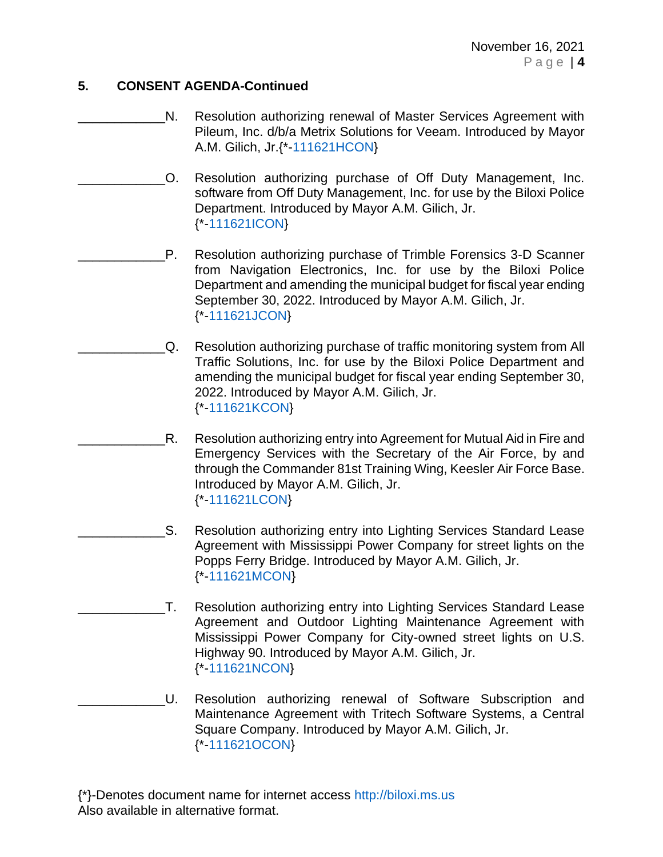- N. Resolution authorizing renewal of Master Services Agreement with Pileum, Inc. d/b/a Metrix Solutions for Veeam. Introduced by Mayor A.M. Gilich, Jr.{\*[-111621HCON}](https://www.biloxi.ms.us/agendas/citycouncil/2021/111621/111621hcon.pdf)
- \_\_\_\_\_\_\_\_\_\_\_\_O. Resolution authorizing purchase of Off Duty Management, Inc. software from Off Duty Management, Inc. for use by the Biloxi Police Department. Introduced by Mayor A.M. Gilich, Jr. {\*[-111621ICON}](https://www.biloxi.ms.us/agendas/citycouncil/2021/111621/111621icon.pdf)
- P. Resolution authorizing purchase of Trimble Forensics 3-D Scanner from Navigation Electronics, Inc. for use by the Biloxi Police Department and amending the municipal budget for fiscal year ending September 30, 2022. Introduced by Mayor A.M. Gilich, Jr. {\*[-111621JCON}](https://www.biloxi.ms.us/agendas/citycouncil/2021/111621/111621jcon.pdf)
	- \_\_\_\_\_\_\_\_\_\_\_\_Q. Resolution authorizing purchase of traffic monitoring system from All Traffic Solutions, Inc. for use by the Biloxi Police Department and amending the municipal budget for fiscal year ending September 30, 2022. Introduced by Mayor A.M. Gilich, Jr. {\*[-111621KCON}](https://www.biloxi.ms.us/agendas/citycouncil/2021/111621/111621kcon.pdf)
		- R. Resolution authorizing entry into Agreement for Mutual Aid in Fire and Emergency Services with the Secretary of the Air Force, by and through the Commander 81st Training Wing, Keesler Air Force Base. Introduced by Mayor A.M. Gilich, Jr. {\*[-111621LCON}](https://www.biloxi.ms.us/agendas/citycouncil/2021/111621/111621lcon.pdf)
		- S. Resolution authorizing entry into Lighting Services Standard Lease Agreement with Mississippi Power Company for street lights on the Popps Ferry Bridge. Introduced by Mayor A.M. Gilich, Jr. {\*[-111621MCON}](https://www.biloxi.ms.us/agendas/citycouncil/2021/111621/111621mcon.pdf)
- \_\_\_\_\_\_\_\_\_\_\_\_T. Resolution authorizing entry into Lighting Services Standard Lease Agreement and Outdoor Lighting Maintenance Agreement with Mississippi Power Company for City-owned street lights on U.S. Highway 90. Introduced by Mayor A.M. Gilich, Jr. {\*[-111621NCON}](https://www.biloxi.ms.us/agendas/citycouncil/2021/111621/111621ncon.pdf)
- \_\_\_\_\_\_\_\_\_\_\_\_U. Resolution authorizing renewal of Software Subscription and Maintenance Agreement with Tritech Software Systems, a Central Square Company. Introduced by Mayor A.M. Gilich, Jr. {\*[-111621OCON}](https://www.biloxi.ms.us/agendas/citycouncil/2021/111621/111621ocon.pdf)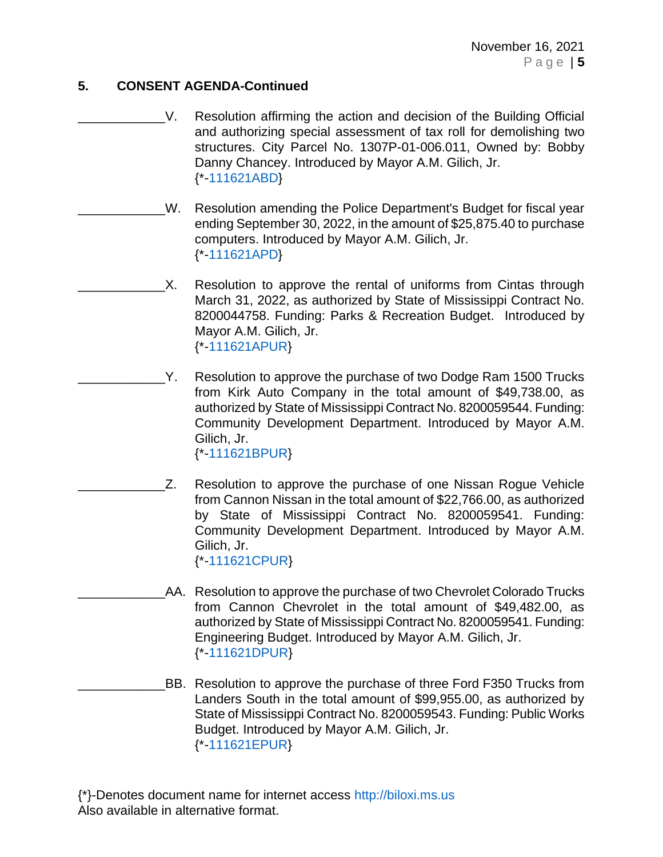- V. Resolution affirming the action and decision of the Building Official and authorizing special assessment of tax roll for demolishing two structures. City Parcel No. 1307P-01-006.011, Owned by: Bobby Danny Chancey. Introduced by Mayor A.M. Gilich, Jr. {\*[-111621ABD}](https://www.biloxi.ms.us/agendas/citycouncil/2021/111621/111621abd.pdf)
- W. Resolution amending the Police Department's Budget for fiscal year ending September 30, 2022, in the amount of \$25,875.40 to purchase computers. Introduced by Mayor A.M. Gilich, Jr. {\*[-111621APD}](https://www.biloxi.ms.us/agendas/citycouncil/2021/111621/111621apd.pdf)
- X. Resolution to approve the rental of uniforms from Cintas through March 31, 2022, as authorized by State of Mississippi Contract No. 8200044758. Funding: Parks & Recreation Budget. Introduced by Mayor A.M. Gilich, Jr. {\*[-111621APUR}](https://www.biloxi.ms.us/agendas/citycouncil/2021/111621/111621apur.pdf)
- Y. Resolution to approve the purchase of two Dodge Ram 1500 Trucks from Kirk Auto Company in the total amount of \$49,738.00, as authorized by State of Mississippi Contract No. 8200059544. Funding: Community Development Department. Introduced by Mayor A.M. Gilich, Jr.

{\*[-111621BPUR}](https://www.biloxi.ms.us/agendas/citycouncil/2021/111621/111621bpur.pdf)

- Z. Resolution to approve the purchase of one Nissan Rogue Vehicle from Cannon Nissan in the total amount of \$22,766.00, as authorized by State of Mississippi Contract No. 8200059541. Funding: Community Development Department. Introduced by Mayor A.M. Gilich, Jr. {\*[-111621CPUR}](https://www.biloxi.ms.us/agendas/citycouncil/2021/111621/111621cpur.pdf)
	- AA. Resolution to approve the purchase of two Chevrolet Colorado Trucks from Cannon Chevrolet in the total amount of \$49,482.00, as authorized by State of Mississippi Contract No. 8200059541. Funding: Engineering Budget. Introduced by Mayor A.M. Gilich, Jr. {\*[-111621DPUR}](https://www.biloxi.ms.us/agendas/citycouncil/2021/111621/111621dpur.pdf)
- BB. Resolution to approve the purchase of three Ford F350 Trucks from Landers South in the total amount of \$99,955.00, as authorized by State of Mississippi Contract No. 8200059543. Funding: Public Works Budget. Introduced by Mayor A.M. Gilich, Jr. {\*[-111621EPUR}](https://www.biloxi.ms.us/agendas/citycouncil/2021/111621/111621epur.pdf)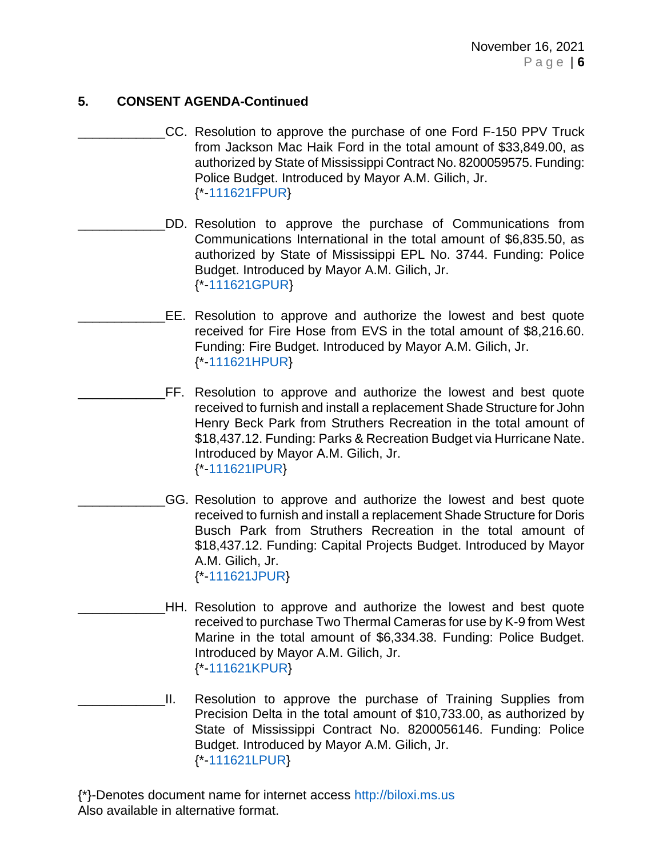- \_\_\_\_\_\_\_\_\_\_\_\_CC. Resolution to approve the purchase of one Ford F-150 PPV Truck from Jackson Mac Haik Ford in the total amount of \$33,849.00, as authorized by State of Mississippi Contract No. 8200059575. Funding: Police Budget. Introduced by Mayor A.M. Gilich, Jr. {\*[-111621FPUR}](https://www.biloxi.ms.us/agendas/citycouncil/2021/111621/111621fpur.pdf)
- DD. Resolution to approve the purchase of Communications from Communications International in the total amount of \$6,835.50, as authorized by State of Mississippi EPL No. 3744. Funding: Police Budget. Introduced by Mayor A.M. Gilich, Jr. {\*[-111621GPUR}](https://www.biloxi.ms.us/agendas/citycouncil/2021/111621/111621gpur.pdf)
	- \_\_\_\_\_\_\_\_\_\_\_\_EE. Resolution to approve and authorize the lowest and best quote received for Fire Hose from EVS in the total amount of \$8,216.60. Funding: Fire Budget. Introduced by Mayor A.M. Gilich, Jr. {\*[-111621HPUR}](https://www.biloxi.ms.us/agendas/citycouncil/2021/111621/111621hpur.pdf)
- \_\_\_\_\_\_\_\_\_\_\_\_FF. Resolution to approve and authorize the lowest and best quote received to furnish and install a replacement Shade Structure for John Henry Beck Park from Struthers Recreation in the total amount of \$18,437.12. Funding: Parks & Recreation Budget via Hurricane Nate. Introduced by Mayor A.M. Gilich, Jr. {\*[-111621IPUR}](https://www.biloxi.ms.us/agendas/citycouncil/2021/111621/111621ipur.pdf)
- GG. Resolution to approve and authorize the lowest and best quote received to furnish and install a replacement Shade Structure for Doris Busch Park from Struthers Recreation in the total amount of \$18,437.12. Funding: Capital Projects Budget. Introduced by Mayor A.M. Gilich, Jr. {\*[-111621JPUR}](https://www.biloxi.ms.us/agendas/citycouncil/2021/111621/111621jpur.pdf)
- \_\_\_\_\_\_\_\_\_\_\_\_HH. Resolution to approve and authorize the lowest and best quote received to purchase Two Thermal Cameras for use by K-9 from West Marine in the total amount of \$6,334.38. Funding: Police Budget. Introduced by Mayor A.M. Gilich, Jr. {\*[-111621KPUR}](https://www.biloxi.ms.us/agendas/citycouncil/2021/111621/111621kpur.pdf)
- \_\_\_\_\_\_\_\_\_\_\_\_II. Resolution to approve the purchase of Training Supplies from Precision Delta in the total amount of \$10,733.00, as authorized by State of Mississippi Contract No. 8200056146. Funding: Police Budget. Introduced by Mayor A.M. Gilich, Jr. {\*[-111621LPUR}](https://www.biloxi.ms.us/agendas/citycouncil/2021/111621/111621lpur.pdf)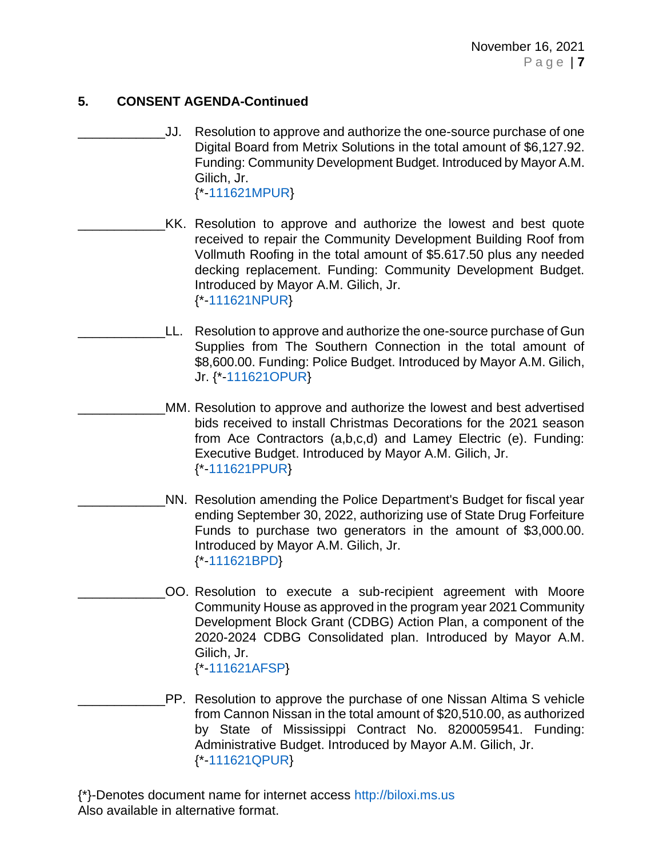- \_\_\_\_\_\_\_\_\_\_\_\_JJ. Resolution to approve and authorize the one-source purchase of one Digital Board from Metrix Solutions in the total amount of \$6,127.92. Funding: Community Development Budget. Introduced by Mayor A.M. Gilich, Jr. {\*[-111621MPUR}](https://www.biloxi.ms.us/agendas/citycouncil/2021/111621/111621mpur.pdf)
	- KK. Resolution to approve and authorize the lowest and best quote received to repair the Community Development Building Roof from Vollmuth Roofing in the total amount of \$5.617.50 plus any needed decking replacement. Funding: Community Development Budget. Introduced by Mayor A.M. Gilich, Jr. {\*[-111621NPUR}](https://www.biloxi.ms.us/agendas/citycouncil/2021/111621/111621npur.pdf)
		- LL. Resolution to approve and authorize the one-source purchase of Gun Supplies from The Southern Connection in the total amount of \$8,600.00. Funding: Police Budget. Introduced by Mayor A.M. Gilich, Jr. {\*[-111621OPUR}](https://www.biloxi.ms.us/agendas/citycouncil/2021/111621/111621opur.pdf)
	- MM. Resolution to approve and authorize the lowest and best advertised bids received to install Christmas Decorations for the 2021 season from Ace Contractors (a,b,c,d) and Lamey Electric (e). Funding: Executive Budget. Introduced by Mayor A.M. Gilich, Jr. {\*[-111621PPUR}](https://www.biloxi.ms.us/agendas/citycouncil/2021/111621/111621ppur.pdf)
- NN. Resolution amending the Police Department's Budget for fiscal year ending September 30, 2022, authorizing use of State Drug Forfeiture Funds to purchase two generators in the amount of \$3,000.00. Introduced by Mayor A.M. Gilich, Jr. {\*[-111621BPD}](https://www.biloxi.ms.us/agendas/citycouncil/2021/111621/111621bpd.pdf)
	- \_\_\_\_\_\_\_\_\_\_\_\_OO. Resolution to execute a sub-recipient agreement with Moore Community House as approved in the program year 2021 Community Development Block Grant (CDBG) Action Plan, a component of the 2020-2024 CDBG Consolidated plan. Introduced by Mayor A.M. Gilich, Jr. {\*[-111621AFSP}](https://www.biloxi.ms.us/agendas/citycouncil/2021/111621/111621afsp.pdf)
- \_\_\_\_\_\_\_\_\_\_\_\_PP. Resolution to approve the purchase of one Nissan Altima S vehicle from Cannon Nissan in the total amount of \$20,510.00, as authorized by State of Mississippi Contract No. 8200059541. Funding: Administrative Budget. Introduced by Mayor A.M. Gilich, Jr. {\*[-111621QPUR}](https://www.biloxi.ms.us/agendas/citycouncil/2021/111621/111621qpur.pdf)
- {\*}-Denotes document name for internet access [http://biloxi.ms.us](http://biloxi.ms.us/) Also available in alternative format.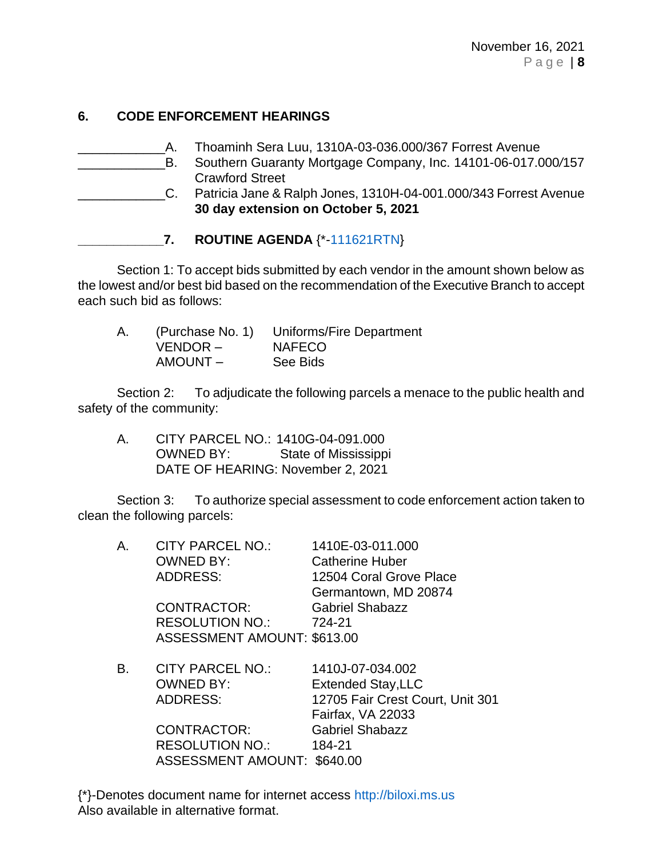# **6. CODE ENFORCEMENT HEARINGS**

\_\_\_\_\_\_\_\_\_\_\_\_A. Thoaminh Sera Luu, 1310A-03-036.000/367 Forrest Avenue \_\_\_\_\_\_\_\_\_\_\_\_B. Southern Guaranty Mortgage Company, Inc. 14101-06-017.000*/*157 Crawford Street \_\_\_\_\_\_\_\_\_\_\_\_C. Patricia Jane & Ralph Jones, 1310H-04-001.000/343 Forrest Avenue **30 day extension on October 5, 2021**

Section 1: To accept bids submitted by each vendor in the amount shown below as the lowest and/or best bid based on the recommendation of the Executive Branch to accept each such bid as follows:

| А. |          | (Purchase No. 1) Uniforms/Fire Department |
|----|----------|-------------------------------------------|
|    | VENDOR – | <b>NAFECO</b>                             |
|    | AMOUNT-  | See Bids                                  |

Section 2: To adjudicate the following parcels a menace to the public health and safety of the community:

A. CITY PARCEL NO.: 1410G-04-091.000 OWNED BY: State of Mississippi DATE OF HEARING: November 2, 2021

Section 3: To authorize special assessment to code enforcement action taken to clean the following parcels:

| $\mathsf{A}$ . | <b>CITY PARCEL NO.:</b><br><b>OWNED BY:</b><br><b>ADDRESS:</b><br><b>CONTRACTOR:</b><br><b>RESOLUTION NO.:</b> | 1410E-03-011.000<br><b>Catherine Huber</b><br>12504 Coral Grove Place<br>Germantown, MD 20874<br><b>Gabriel Shabazz</b><br>724-21 |
|----------------|----------------------------------------------------------------------------------------------------------------|-----------------------------------------------------------------------------------------------------------------------------------|
|                | <b>ASSESSMENT AMOUNT: \$613.00</b>                                                                             |                                                                                                                                   |
| В.             | <b>CITY PARCEL NO.:</b><br><b>OWNED BY:</b><br><b>ADDRESS:</b>                                                 | 1410J-07-034.002<br><b>Extended Stay, LLC</b><br>12705 Fair Crest Court, Unit 301<br>Fairfax, VA 22033                            |
|                | CONTRACTOR:<br><b>RESOLUTION NO.:</b><br>ASSESSMENT AMOUNT: \$640.00                                           | <b>Gabriel Shabazz</b><br>184-21                                                                                                  |

**\_\_\_\_\_\_\_\_\_\_\_\_7. ROUTINE AGENDA** {\*[-111621RTN}](https://www.biloxi.ms.us/agendas/citycouncil/2021/111621/111621rtn.pdf)